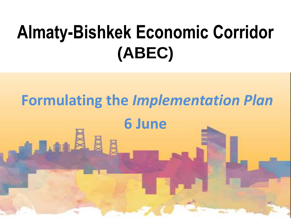## **Almaty-Bishkek Economic Corridor (ABEC)**

# **Formulating the** *Implementation Plan* **6 June**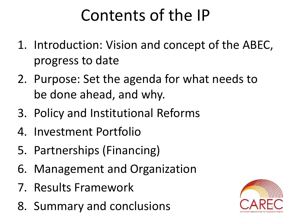#### Contents of the IP

- 1. Introduction: Vision and concept of the ABEC, progress to date
- 2. Purpose: Set the agenda for what needs to be done ahead, and why.
- 3. Policy and Institutional Reforms
- 4. Investment Portfolio
- 5. Partnerships (Financing)
- 6. Management and Organization
- 7. Results Framework
- 8. Summary and conclusions

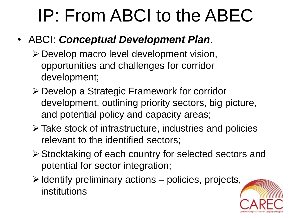### IP: From ABCI to the ABEC

#### • ABCI: *Conceptual Development Plan*.

- Develop macro level development vision, opportunities and challenges for corridor development;
- Develop a Strategic Framework for corridor development, outlining priority sectors, big picture, and potential policy and capacity areas;
- Take stock of infrastructure, industries and policies relevant to the identified sectors;
- Stocktaking of each country for selected sectors and potential for sector integration;
- $\triangleright$  Identify preliminary actions policies, projects, institutions

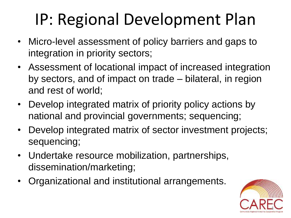#### IP: Regional Development Plan

- Micro-level assessment of policy barriers and gaps to integration in priority sectors;
- Assessment of locational impact of increased integration by sectors, and of impact on trade – bilateral, in region and rest of world;
- Develop integrated matrix of priority policy actions by national and provincial governments; sequencing;
- Develop integrated matrix of sector investment projects; sequencing;
- Undertake resource mobilization, partnerships, dissemination/marketing;
- Organizational and institutional arrangements.